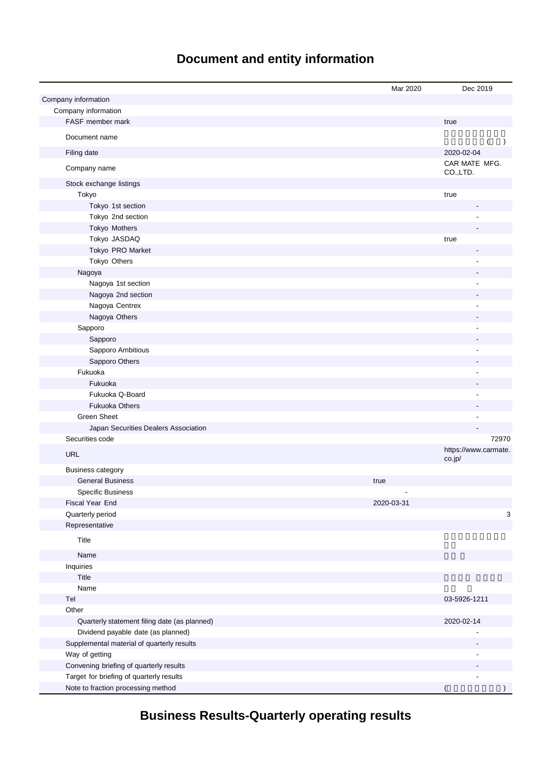# **Document and entity information**

|                                              | Mar 2020   | Dec 2019                       |
|----------------------------------------------|------------|--------------------------------|
| Company information                          |            |                                |
| Company information                          |            |                                |
| FASF member mark                             |            | true                           |
| Document name                                |            | $\lambda$                      |
| Filing date                                  |            | 2020-02-04                     |
| Company name                                 |            | CAR MATE MFG.<br>CO.,LTD.      |
| Stock exchange listings                      |            |                                |
| Tokyo                                        |            | true                           |
| Tokyo 1st section                            |            |                                |
| Tokyo 2nd section                            |            |                                |
| Tokyo Mothers                                |            |                                |
| Tokyo JASDAQ                                 |            | true                           |
| Tokyo PRO Market                             |            |                                |
| Tokyo Others                                 |            |                                |
| Nagoya                                       |            |                                |
| Nagoya 1st section                           |            |                                |
| Nagoya 2nd section                           |            |                                |
| Nagoya Centrex                               |            |                                |
| Nagoya Others                                |            |                                |
| Sapporo                                      |            |                                |
| Sapporo                                      |            |                                |
| Sapporo Ambitious                            |            |                                |
| Sapporo Others                               |            |                                |
| Fukuoka                                      |            |                                |
| Fukuoka                                      |            |                                |
| Fukuoka Q-Board                              |            |                                |
| <b>Fukuoka Others</b>                        |            |                                |
| <b>Green Sheet</b>                           |            |                                |
|                                              |            |                                |
| Japan Securities Dealers Association         |            |                                |
| Securities code                              |            | 72970                          |
| <b>URL</b>                                   |            | https://www.carmate.<br>co.jp/ |
| <b>Business category</b>                     |            |                                |
| <b>General Business</b>                      | true       |                                |
| <b>Specific Business</b>                     |            |                                |
| Fiscal Year End                              | 2020-03-31 |                                |
| Quarterly period                             |            | 3                              |
| Representative                               |            |                                |
| Title                                        |            |                                |
| Name                                         |            |                                |
| Inquiries                                    |            |                                |
| Title                                        |            |                                |
| Name                                         |            |                                |
| Tel                                          |            | 03-5926-1211                   |
| Other                                        |            |                                |
| Quarterly statement filing date (as planned) |            | 2020-02-14                     |
| Dividend payable date (as planned)           |            |                                |
| Supplemental material of quarterly results   |            |                                |
| Way of getting                               |            |                                |
| Convening briefing of quarterly results      |            |                                |
| Target for briefing of quarterly results     |            |                                |
| Note to fraction processing method           |            |                                |

**Business Results-Quarterly operating results**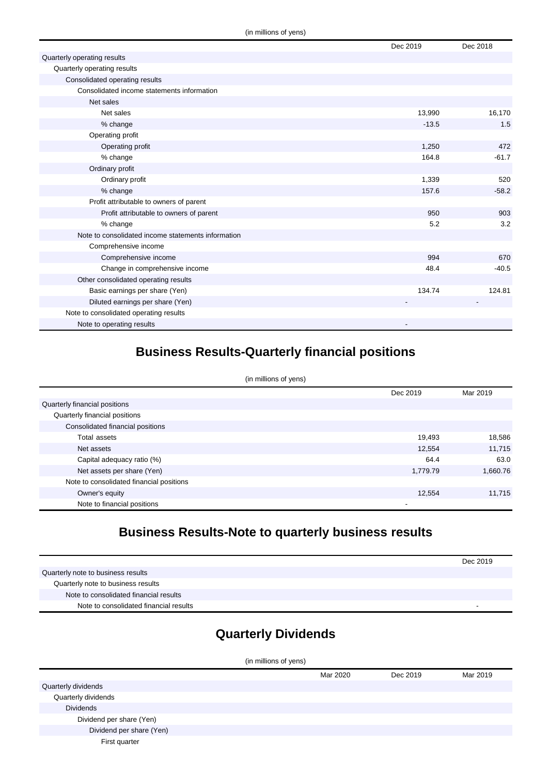|                                                    | Dec 2019 | Dec 2018 |
|----------------------------------------------------|----------|----------|
| Quarterly operating results                        |          |          |
| Quarterly operating results                        |          |          |
| Consolidated operating results                     |          |          |
| Consolidated income statements information         |          |          |
| Net sales                                          |          |          |
| Net sales                                          | 13,990   | 16,170   |
| % change                                           | $-13.5$  | 1.5      |
| Operating profit                                   |          |          |
| Operating profit                                   | 1,250    | 472      |
| % change                                           | 164.8    | $-61.7$  |
| Ordinary profit                                    |          |          |
| Ordinary profit                                    | 1,339    | 520      |
| % change                                           | 157.6    | $-58.2$  |
| Profit attributable to owners of parent            |          |          |
| Profit attributable to owners of parent            | 950      | 903      |
| % change                                           | 5.2      | 3.2      |
| Note to consolidated income statements information |          |          |
| Comprehensive income                               |          |          |
| Comprehensive income                               | 994      | 670      |
| Change in comprehensive income                     | 48.4     | $-40.5$  |
| Other consolidated operating results               |          |          |
| Basic earnings per share (Yen)                     | 134.74   | 124.81   |
| Diluted earnings per share (Yen)                   |          |          |
| Note to consolidated operating results             |          |          |
| Note to operating results                          |          |          |

### **Business Results-Quarterly financial positions**

| (in millions of yens)                    |          |          |
|------------------------------------------|----------|----------|
|                                          | Dec 2019 | Mar 2019 |
| Quarterly financial positions            |          |          |
| Quarterly financial positions            |          |          |
| Consolidated financial positions         |          |          |
| Total assets                             | 19,493   | 18,586   |
| Net assets                               | 12,554   | 11,715   |
| Capital adequacy ratio (%)               | 64.4     | 63.0     |
| Net assets per share (Yen)               | 1,779.79 | 1,660.76 |
| Note to consolidated financial positions |          |          |
| Owner's equity                           | 12.554   | 11,715   |
| Note to financial positions              |          |          |

# **Business Results-Note to quarterly business results**

|                                        | Dec 2019 |
|----------------------------------------|----------|
| Quarterly note to business results     |          |
| Quarterly note to business results     |          |
| Note to consolidated financial results |          |
| Note to consolidated financial results | -        |

### **Quarterly Dividends**

| (in millions of yens)    |          |          |          |
|--------------------------|----------|----------|----------|
|                          | Mar 2020 | Dec 2019 | Mar 2019 |
| Quarterly dividends      |          |          |          |
| Quarterly dividends      |          |          |          |
| <b>Dividends</b>         |          |          |          |
| Dividend per share (Yen) |          |          |          |
| Dividend per share (Yen) |          |          |          |
| First quarter            |          |          |          |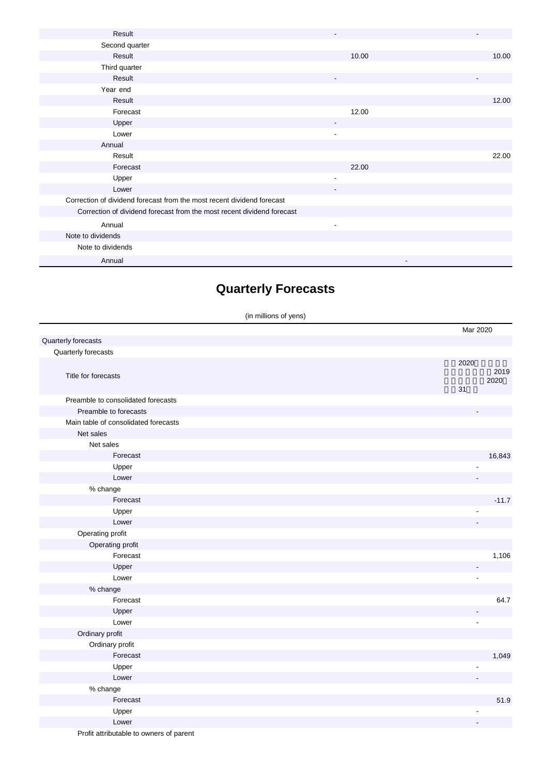| Result                                                                 |                          |       |
|------------------------------------------------------------------------|--------------------------|-------|
| Second quarter                                                         |                          |       |
| Result                                                                 | 10.00                    | 10.00 |
| Third quarter                                                          |                          |       |
| Result                                                                 | ٠                        |       |
| Year end                                                               |                          |       |
| Result                                                                 |                          | 12.00 |
| Forecast                                                               | 12.00                    |       |
| Upper                                                                  |                          |       |
| Lower                                                                  | $\blacksquare$           |       |
| Annual                                                                 |                          |       |
| Result                                                                 |                          | 22.00 |
| Forecast                                                               | 22.00                    |       |
| Upper                                                                  |                          |       |
| Lower                                                                  | ٠                        |       |
| Correction of dividend forecast from the most recent dividend forecast |                          |       |
| Correction of dividend forecast from the most recent dividend forecast |                          |       |
| Annual                                                                 | $\overline{\phantom{a}}$ |       |
| Note to dividends                                                      |                          |       |
| Note to dividends                                                      |                          |       |
| Annual                                                                 |                          |       |

# **Quarterly Forecasts**

|                                      | (in millions of yens)    |              |
|--------------------------------------|--------------------------|--------------|
|                                      | Mar 2020                 |              |
| Quarterly forecasts                  |                          |              |
| Quarterly forecasts                  |                          |              |
| Title for forecasts                  | 2020<br>31               | 2019<br>2020 |
| Preamble to consolidated forecasts   |                          |              |
| Preamble to forecasts                |                          |              |
| Main table of consolidated forecasts |                          |              |
| Net sales                            |                          |              |
| Net sales                            |                          |              |
| Forecast                             |                          | 16,843       |
| Upper                                |                          |              |
| Lower                                |                          |              |
| % change                             |                          |              |
| Forecast                             |                          | $-11.7$      |
| Upper                                | $\overline{\phantom{a}}$ |              |
| Lower                                |                          |              |
| Operating profit                     |                          |              |
| Operating profit                     |                          |              |
| Forecast                             |                          | 1,106        |
| Upper                                | $\overline{\phantom{m}}$ |              |
| Lower                                | $\overline{\phantom{a}}$ |              |
| % change                             |                          |              |
| Forecast                             |                          | 64.7         |
| Upper                                |                          |              |
| Lower                                | $\blacksquare$           |              |
| Ordinary profit                      |                          |              |
| Ordinary profit                      |                          |              |
| Forecast                             |                          | 1,049        |
| Upper                                | $\overline{a}$           |              |
| Lower                                |                          |              |
| % change                             |                          |              |
| Forecast                             |                          | 51.9         |
| Upper                                | ÷,                       |              |
| Lower                                | $\overline{a}$           |              |

Profit attributable to owners of parent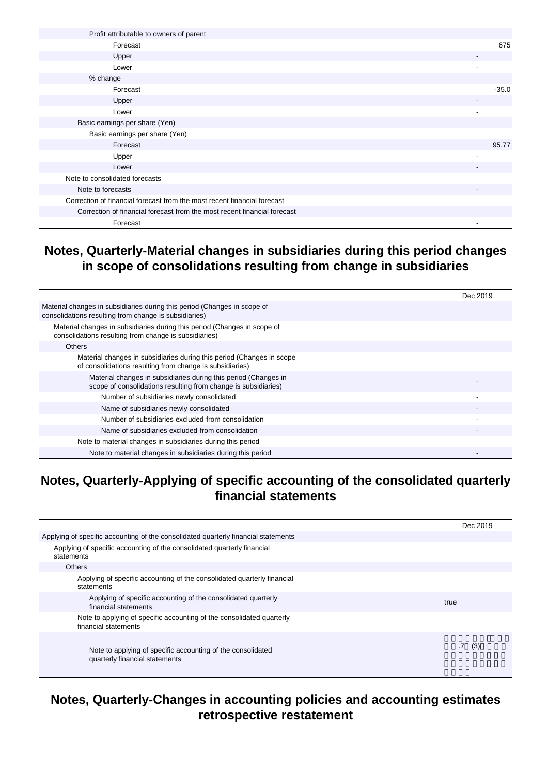| Profit attributable to owners of parent                                  |                          |
|--------------------------------------------------------------------------|--------------------------|
| Forecast                                                                 | 675                      |
| Upper                                                                    |                          |
| Lower                                                                    |                          |
| % change                                                                 |                          |
| Forecast                                                                 | $-35.0$                  |
| Upper                                                                    | $\overline{\phantom{a}}$ |
| Lower                                                                    | $\blacksquare$           |
| Basic earnings per share (Yen)                                           |                          |
| Basic earnings per share (Yen)                                           |                          |
| Forecast                                                                 | 95.77                    |
| Upper                                                                    |                          |
| Lower                                                                    |                          |
| Note to consolidated forecasts                                           |                          |
| Note to forecasts                                                        | $\overline{\phantom{a}}$ |
| Correction of financial forecast from the most recent financial forecast |                          |
| Correction of financial forecast from the most recent financial forecast |                          |
| Forecast                                                                 | ٠                        |

#### **Notes, Quarterly-Material changes in subsidiaries during this period changes in scope of consolidations resulting from change in subsidiaries**

|                                                                                                                                   | Dec 2019 |
|-----------------------------------------------------------------------------------------------------------------------------------|----------|
| Material changes in subsidiaries during this period (Changes in scope of<br>consolidations resulting from change is subsidiaries) |          |
| Material changes in subsidiaries during this period (Changes in scope of<br>consolidations resulting from change is subsidiaries) |          |
| <b>Others</b>                                                                                                                     |          |
| Material changes in subsidiaries during this period (Changes in scope<br>of consolidations resulting from change is subsidiaries) |          |
| Material changes in subsidiaries during this period (Changes in<br>scope of consolidations resulting from change is subsidiaries) |          |
| Number of subsidiaries newly consolidated                                                                                         |          |
| Name of subsidiaries newly consolidated                                                                                           |          |
| Number of subsidiaries excluded from consolidation                                                                                |          |
| Name of subsidiaries excluded from consolidation                                                                                  |          |
| Note to material changes in subsidiaries during this period                                                                       |          |
| Note to material changes in subsidiaries during this period                                                                       |          |

#### **Notes, Quarterly-Applying of specific accounting of the consolidated quarterly financial statements**

|                                                                                               | Dec 2019               |
|-----------------------------------------------------------------------------------------------|------------------------|
| Applying of specific accounting of the consolidated quarterly financial statements            |                        |
| Applying of specific accounting of the consolidated quarterly financial<br>statements         |                        |
| <b>Others</b>                                                                                 |                        |
| Applying of specific accounting of the consolidated quarterly financial<br>statements         |                        |
| Applying of specific accounting of the consolidated quarterly<br>financial statements         | true                   |
| Note to applying of specific accounting of the consolidated quarterly<br>financial statements |                        |
| Note to applying of specific accounting of the consolidated<br>quarterly financial statements | $.7\phantom{0}$<br>(3) |

#### **Notes, Quarterly-Changes in accounting policies and accounting estimates retrospective restatement**